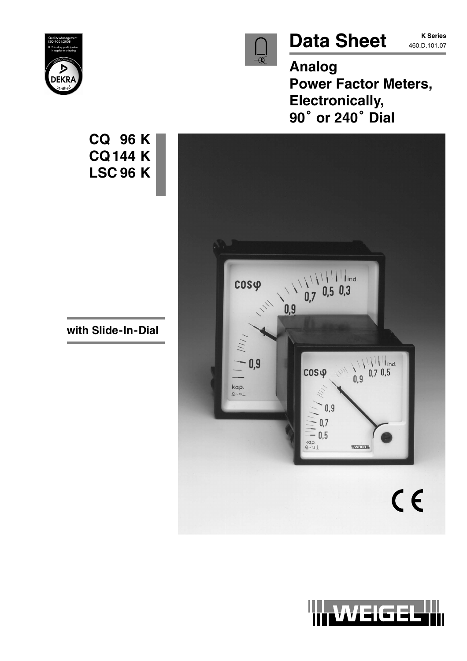

# Data Sheet **K Series**

**K Series**

**Analog Power Factor Meters, Electronically, 90 or 240 Dial**





**CQ144 K LSC 96 K**

**CQ 96 K**

**with Slide-In-Dial**

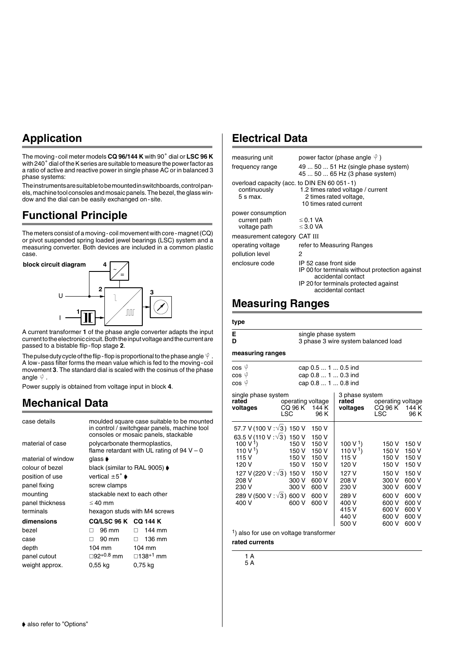## **Application**

The moving-coil meter models **CQ 96/144 K** with 90° dial or LSC 96 K with 240° dial of the K series are suitable to measure the power factor as a ratio of active and reactive power in single phase AC or in balanced 3 phase systems:

The instruments are suitable to be mounted in switchboards, control panels, machine tool consoles and mosaic panels. The bezel, the glass window and the dial can be easily exchanged on-site.

## **Functional Principle**

The meters consist of a moving-coil movement with core-magnet (CQ) or pivot suspended spring loaded jewel bearings (LSC) system and a measuring converter. Both devices are included in a common plastic case.



A current transformer **1** of the phase angle converter adapts the input current to the electronic circuit. Both the input voltage and the current are passed to a bistable flip-flop stage **2**.

The pulse duty cycle of the flip-flop is proportional to the phase angle  $\Psi$ . A low-pass filter forms the mean value which is fed to the moving-coil movement **3**. The standard dial is scaled with the cosinus of the phase angle  $\Psi$ .

Power supply is obtained from voltage input in block **4**.

## **Mechanical Data**

| case details       |                                              | moulded square case suitable to be mounted<br>in control / switchgear panels, machine tool<br>consoles or mosaic panels, stackable |
|--------------------|----------------------------------------------|------------------------------------------------------------------------------------------------------------------------------------|
| material of case   | polycarbonate thermoplastics,                | flame retardant with UL rating of $94 V - 0$                                                                                       |
| material of window | glass <b>♦</b>                               |                                                                                                                                    |
| colour of bezel    | black (similar to RAL 9005) $\blacklozenge$  |                                                                                                                                    |
| position of use    | vertical $\pm 5^\circ$ $\blacktriangleright$ |                                                                                                                                    |
| panel fixing       | screw clamps                                 |                                                                                                                                    |
| mounting           | stackable next to each other                 |                                                                                                                                    |
| panel thickness    | $\leq 40$ mm                                 |                                                                                                                                    |
| terminals          | hexagon studs with M4 screws                 |                                                                                                                                    |
| dimensions         | CQ/LSC 96 K CQ 144 K                         |                                                                                                                                    |
| bezel              | 96 mm<br>п                                   | 144 mm<br>П.                                                                                                                       |
| case               | 90 mm<br>п                                   | 136 mm<br>П.                                                                                                                       |
| depth              | 104 mm                                       | 104 mm                                                                                                                             |
| panel cutout       | ⊟92 <sup>+0.8</sup> mm                       | □138 <sup>+1</sup> mm                                                                                                              |
| weight approx.     | 0.55 kg                                      | 0,75 kg                                                                                                                            |

## **Electrical Data**

| measuring unit                                                              | power factor (phase angle $\Psi$ )                                                                                                                           |
|-----------------------------------------------------------------------------|--------------------------------------------------------------------------------------------------------------------------------------------------------------|
| frequency range                                                             | 49  50  51 Hz (single phase system)<br>45  50  65 Hz (3 phase system)                                                                                        |
| overload capacity (acc. to DIN EN 60 051 - 1)<br>continuously<br>$5 s$ max. | 1.2 times rated voltage / current<br>2 times rated voltage,<br>10 times rated current                                                                        |
| power consumption<br>current path<br>voltage path                           | $\leq$ 0.1 VA<br>$\leq$ 3.0 VA                                                                                                                               |
| measurement category                                                        | CAT III                                                                                                                                                      |
| operating voltage                                                           | refer to Measuring Ranges                                                                                                                                    |
| pollution level                                                             | 2                                                                                                                                                            |
| enclosure code                                                              | IP 52 case front side<br>IP 00 for terminals without protection against<br>accidental contact<br>IP 20 for terminals protected against<br>accidental contact |

## **Measuring Ranges**

|   | single phase system                 |
|---|-------------------------------------|
| D | 3 phase 3 wire system balanced load |

**measuring ranges**

| cos Ψ<br>cos <sup>ψ</sup><br>cos Ψ                                                                                                                                                                                  |                                                             |                                                                                                 | cap 0.5  1  0.5 ind<br>cap 0.8  1  0.3 ind<br>cap 0.8  1  0.8 ind                                                                      |                                                                                                          |                                                                                                          |
|---------------------------------------------------------------------------------------------------------------------------------------------------------------------------------------------------------------------|-------------------------------------------------------------|-------------------------------------------------------------------------------------------------|----------------------------------------------------------------------------------------------------------------------------------------|----------------------------------------------------------------------------------------------------------|----------------------------------------------------------------------------------------------------------|
| single phase system<br>rated<br>voltages                                                                                                                                                                            | operating voltage<br>CQ 96 K<br>LSC                         | 144 K<br>96 K                                                                                   | 3 phase system<br>rated<br>voltages                                                                                                    | operating voltage<br>CQ 96 K<br>LSC                                                                      | 144 K<br>96 K                                                                                            |
| 57.7 V (100 V :√3) 150 V<br>63.5 V (110 V : $\sqrt{3}$ ) 150 V<br>100 V <sup>1</sup> )<br>110 V <sup>1</sup> )<br>115 V<br>120 V<br>127 V (220 V : √3) 150 V<br>208 V<br>230 V<br>289 V (500 V : √3) 600 V<br>400 V | 150 V<br>150 V<br>150 V<br>150 V<br>300 V<br>300 V<br>600 V | 150 V<br>150 V<br>150 V<br>150 V<br>150 V<br>150 V<br>150 V<br>600 V<br>600 V<br>600 V<br>600 V | 100 V <sup>1</sup> )<br>110 V <sup>1</sup> )<br>115 V<br>120 V<br>127 V<br>208 V<br>230 V<br>289 V<br>400 V<br>415 V<br>440 V<br>500 V | 150 V<br>150 V<br>150 V<br>150 V<br>150 V<br>300 V<br>300 V<br>600 V<br>600 V<br>600 V<br>600 V<br>600 V | 150 V<br>150 V<br>150 V<br>150 V<br>150 V<br>600 V<br>600 V<br>600 V<br>600 V<br>600 V<br>600 V<br>600 V |
| 1) aleo for use on voltage transformer                                                                                                                                                                              |                                                             |                                                                                                 |                                                                                                                                        |                                                                                                          |                                                                                                          |

1) also for use on voltage transformer

**rated currents**

1 A 5 A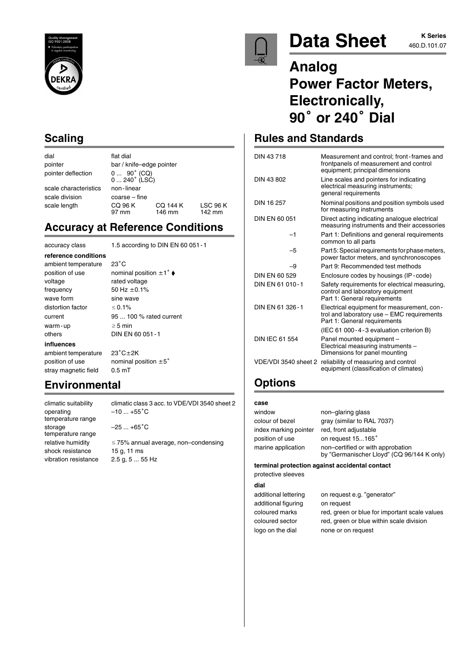

## **Scaling**

dial flat dial pointer deflection

scale characteristics non-linear scale division coarse – fine

**reference conditions** ambient temperature 23°C

pointer bar / knife–edge pointer  $0 ... 90^{\circ}$  (CQ)<br> $0 ... 240^{\circ}$  (LSC) scale length CQ 96 K CQ 144 K LSC 96 K<br>97 mm 146 mm 142 mm 146 mm

## **Accuracy at Reference Conditions**

accuracy class 1.5 according to DIN EN 60 051-1

wave form sine wave distortion factor  $< 0.1\%$ warm-up  $\geq 5$  min others DIN EN 60 051-1 **influences** ambient temperature  $23^{\circ}$ C $\pm$ 2K position of use nominal position  $\pm 5^{\circ}$ 

position of use nominal position  $\pm 1^\circ \bullet$ voltage rated voltage frequency  $50$  Hz  $\pm 0.1$ %

current 95 ... 100 % rated current

stray magnetic field 0.5 mT

## **Environmental**

operating  $-10 ... +55^{\circ}C$ temperature range storage  $-25...+65^{\circ}C$ temperature range shock resistance 15 g, 11 ms

climatic suitability climatic class 3 acc. to VDE/VDI 3540 sheet 2

relative humidity  $\leq 75\%$  annual average, non–condensing vibration resistance 2.5 g, 5 ... 55 Hz



# Data Sheet **460.D.101.07**

# **K Series**

## **Analog Power Factor Meters, Electronically, 90 or 240 Dial**

## **Rules and Standards**

| DIN 43718             | Measurement and control; front-frames and<br>frontpanels of measurement and control<br>equipment; principal dimensions   |
|-----------------------|--------------------------------------------------------------------------------------------------------------------------|
| DIN 43 802            | Line scales and pointers for indicating<br>electrical measuring instruments;<br>general requirements                     |
| DIN 16 257            | Nominal positions and position symbols used<br>for measuring instruments                                                 |
| DIN EN 60 051         | Direct acting indicating analogue electrical<br>measuring instruments and their accessories                              |
| $-1$                  | Part 1: Definitions and general requirements<br>common to all parts                                                      |
| -5                    | Part 5: Special requirements for phase meters,<br>power factor meters, and synchronoscopes                               |
| -9                    | Part 9: Recommended test methods                                                                                         |
| DIN FN 60.529         | Enclosure codes by housings (IP-code)                                                                                    |
| DIN EN 61 010-1       | Safety requirements for electrical measuring,<br>control and laboratory equipment<br>Part 1: General requirements        |
| DIN FN 61 326-1       | Electrical equipment for measurement, con-<br>trol and laboratory use - EMC requirements<br>Part 1: General requirements |
|                       | (IEC 61 000-4-3 evaluation criterion B)                                                                                  |
| <b>DIN IEC 61 554</b> | Panel mounted equipment -<br>Electrical measuring instruments -<br>Dimensions for panel mounting                         |
| VDE/VDI 3540 sheet 2  | reliability of measuring and control<br>equipment (classification of climates)                                           |
|                       |                                                                                                                          |

## **Options**

### **case**

| window                | non-glaring glass                                                               |
|-----------------------|---------------------------------------------------------------------------------|
| colour of bezel       | gray (similar to RAL 7037)                                                      |
| index marking pointer | red, front adjustable                                                           |
| position of use       | on request 15165°                                                               |
| marine application    | non-certified or with approbation<br>by "Germanischer Lloyd" (CQ 96/144 K only) |

#### **terminal protection against accidental contact**

protective sleeves **dial**

| additional lettering | on request e.g. "generator"                   |
|----------------------|-----------------------------------------------|
| additional figuring  | on request                                    |
| coloured marks       | red, green or blue for important scale values |
| coloured sector      | red, green or blue within scale division      |
| logo on the dial     | none or on request                            |